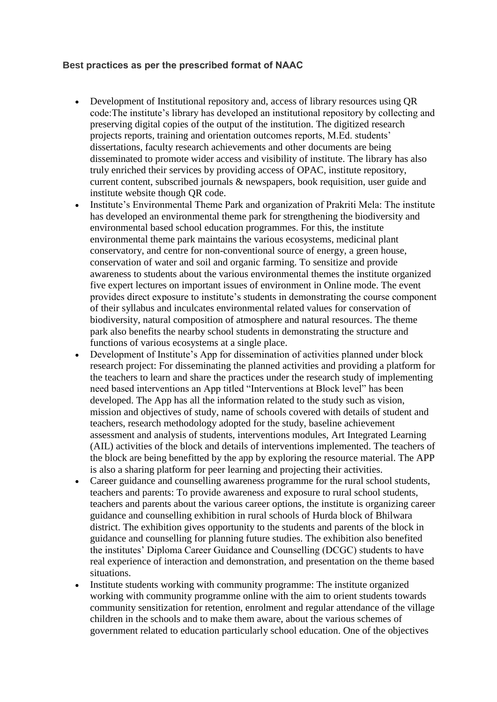## **Best practices as per the prescribed format of NAAC**

- Development of Institutional repository and, access of library resources using QR code:The institute's library has developed an institutional repository by collecting and preserving digital copies of the output of the institution. The digitized research projects reports, training and orientation outcomes reports, M.Ed. students' dissertations, faculty research achievements and other documents are being disseminated to promote wider access and visibility of institute. The library has also truly enriched their services by providing access of OPAC, institute repository, current content, subscribed journals & newspapers, book requisition, user guide and institute website though QR code.
- Institute's Environmental Theme Park and organization of Prakriti Mela: The institute has developed an environmental theme park for strengthening the biodiversity and environmental based school education programmes. For this, the institute environmental theme park maintains the various ecosystems, medicinal plant conservatory, and centre for non-conventional source of energy, a green house, conservation of water and soil and organic farming. To sensitize and provide awareness to students about the various environmental themes the institute organized five expert lectures on important issues of environment in Online mode. The event provides direct exposure to institute's students in demonstrating the course component of their syllabus and inculcates environmental related values for conservation of biodiversity, natural composition of atmosphere and natural resources. The theme park also benefits the nearby school students in demonstrating the structure and functions of various ecosystems at a single place.
- Development of Institute's App for dissemination of activities planned under block research project: For disseminating the planned activities and providing a platform for the teachers to learn and share the practices under the research study of implementing need based interventions an App titled "Interventions at Block level" has been developed. The App has all the information related to the study such as vision, mission and objectives of study, name of schools covered with details of student and teachers, research methodology adopted for the study, baseline achievement assessment and analysis of students, interventions modules, Art Integrated Learning (AIL) activities of the block and details of interventions implemented. The teachers of the block are being benefitted by the app by exploring the resource material. The APP is also a sharing platform for peer learning and projecting their activities.
- Career guidance and counselling awareness programme for the rural school students, teachers and parents: To provide awareness and exposure to rural school students, teachers and parents about the various career options, the institute is organizing career guidance and counselling exhibition in rural schools of Hurda block of Bhilwara district. The exhibition gives opportunity to the students and parents of the block in guidance and counselling for planning future studies. The exhibition also benefited the institutes' Diploma Career Guidance and Counselling (DCGC) students to have real experience of interaction and demonstration, and presentation on the theme based situations.
- Institute students working with community programme: The institute organized working with community programme online with the aim to orient students towards community sensitization for retention, enrolment and regular attendance of the village children in the schools and to make them aware, about the various schemes of government related to education particularly school education. One of the objectives